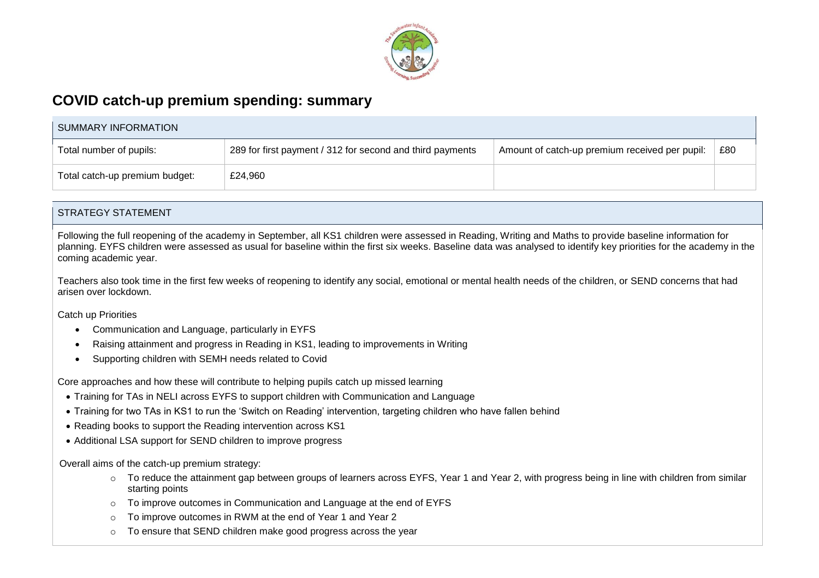

## **COVID catch-up premium spending: summary**

| SUMMARY INFORMATION            |                                                           |                                                |     |  |
|--------------------------------|-----------------------------------------------------------|------------------------------------------------|-----|--|
| Total number of pupils:        | 289 for first payment / 312 for second and third payments | Amount of catch-up premium received per pupil: | £80 |  |
| Total catch-up premium budget: | £24,960                                                   |                                                |     |  |

#### STRATEGY STATEMENT

Following the full reopening of the academy in September, all KS1 children were assessed in Reading, Writing and Maths to provide baseline information for planning. EYFS children were assessed as usual for baseline within the first six weeks. Baseline data was analysed to identify key priorities for the academy in the coming academic year.

Teachers also took time in the first few weeks of reopening to identify any social, emotional or mental health needs of the children, or SEND concerns that had arisen over lockdown.

Catch up Priorities

- Communication and Language, particularly in EYFS
- Raising attainment and progress in Reading in KS1, leading to improvements in Writing
- Supporting children with SEMH needs related to Covid

Core approaches and how these will contribute to helping pupils catch up missed learning

- Training for TAs in NELI across EYFS to support children with Communication and Language
- Training for two TAs in KS1 to run the 'Switch on Reading' intervention, targeting children who have fallen behind
- Reading books to support the Reading intervention across KS1
- Additional LSA support for SEND children to improve progress

Overall aims of the catch-up premium strategy:

- o To reduce the attainment gap between groups of learners across EYFS, Year 1 and Year 2, with progress being in line with children from similar starting points
- To improve outcomes in Communication and Language at the end of EYFS
- To improve outcomes in RWM at the end of Year 1 and Year 2
- To ensure that SEND children make good progress across the year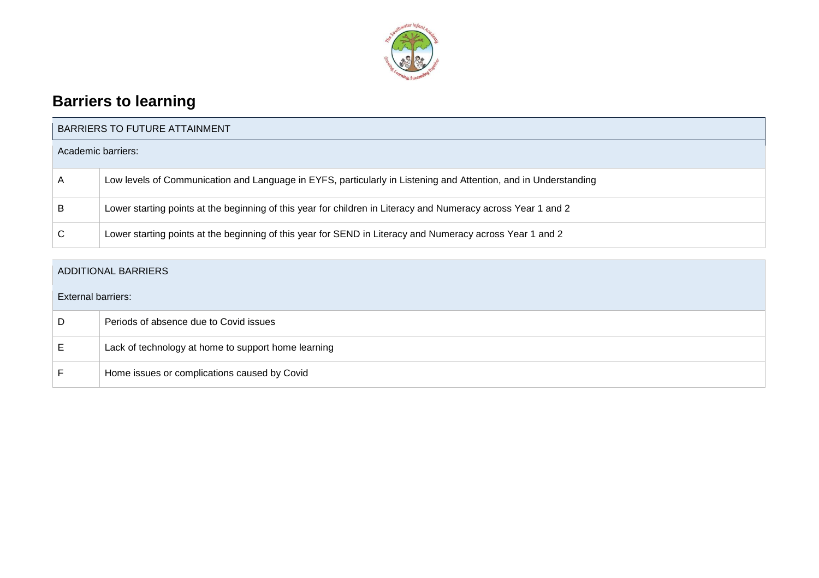

# **Barriers to learning**

| <b>BARRIERS TO FUTURE ATTAINMENT</b> |                                                                                                                 |  |  |
|--------------------------------------|-----------------------------------------------------------------------------------------------------------------|--|--|
| Academic barriers:                   |                                                                                                                 |  |  |
| $\mathsf{A}$                         | Low levels of Communication and Language in EYFS, particularly in Listening and Attention, and in Understanding |  |  |
| B                                    | Lower starting points at the beginning of this year for children in Literacy and Numeracy across Year 1 and 2   |  |  |
| $\mathsf{C}$                         | Lower starting points at the beginning of this year for SEND in Literacy and Numeracy across Year 1 and 2       |  |  |

### ADDITIONAL BARRIERS

| <b>External barriers:</b> |                                                     |  |  |
|---------------------------|-----------------------------------------------------|--|--|
| D                         | Periods of absence due to Covid issues              |  |  |
| E                         | Lack of technology at home to support home learning |  |  |
|                           | Home issues or complications caused by Covid        |  |  |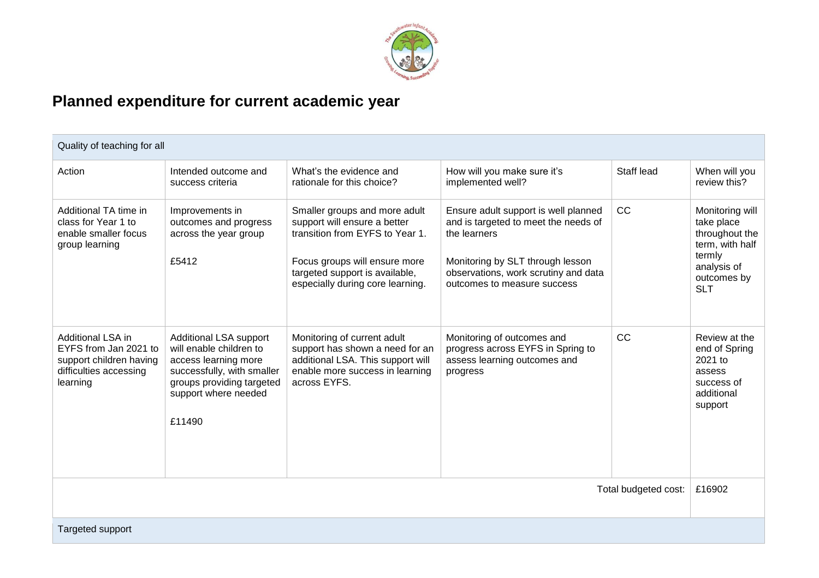

# **Planned expenditure for current academic year**

| Quality of teaching for all                                                                                                                                                                                                    |                                                                                                                                                                               |                                                                                                                                                                                                         |                                                                                                                                                                                                         |            |                                                                                                                          |
|--------------------------------------------------------------------------------------------------------------------------------------------------------------------------------------------------------------------------------|-------------------------------------------------------------------------------------------------------------------------------------------------------------------------------|---------------------------------------------------------------------------------------------------------------------------------------------------------------------------------------------------------|---------------------------------------------------------------------------------------------------------------------------------------------------------------------------------------------------------|------------|--------------------------------------------------------------------------------------------------------------------------|
| Action                                                                                                                                                                                                                         | Intended outcome and<br>success criteria                                                                                                                                      | What's the evidence and<br>rationale for this choice?                                                                                                                                                   | How will you make sure it's<br>implemented well?                                                                                                                                                        | Staff lead | When will you<br>review this?                                                                                            |
| Additional TA time in<br>class for Year 1 to<br>enable smaller focus<br>group learning                                                                                                                                         | Improvements in<br>outcomes and progress<br>across the year group<br>£5412                                                                                                    | Smaller groups and more adult<br>support will ensure a better<br>transition from EYFS to Year 1.<br>Focus groups will ensure more<br>targeted support is available,<br>especially during core learning. | Ensure adult support is well planned<br>and is targeted to meet the needs of<br>the learners<br>Monitoring by SLT through lesson<br>observations, work scrutiny and data<br>outcomes to measure success | CC         | Monitoring will<br>take place<br>throughout the<br>term, with half<br>termly<br>analysis of<br>outcomes by<br><b>SLT</b> |
| Additional LSA in<br>EYFS from Jan 2021 to<br>support children having<br>difficulties accessing<br>learning                                                                                                                    | <b>Additional LSA support</b><br>will enable children to<br>access learning more<br>successfully, with smaller<br>groups providing targeted<br>support where needed<br>£11490 | Monitoring of current adult<br>support has shown a need for an<br>additional LSA. This support will<br>enable more success in learning<br>across EYFS.                                                  | Monitoring of outcomes and<br>progress across EYFS in Spring to<br>assess learning outcomes and<br>progress                                                                                             | <b>CC</b>  | Review at the<br>end of Spring<br>2021 to<br>assess<br>success of<br>additional<br>support                               |
| The training and acceptance of the second second and second the second second and second the second second and second and second and second and second and second and second and second and second and second and second and s |                                                                                                                                                                               |                                                                                                                                                                                                         |                                                                                                                                                                                                         | 0.0000     |                                                                                                                          |

Total budgeted cost: | £16902

Targeted support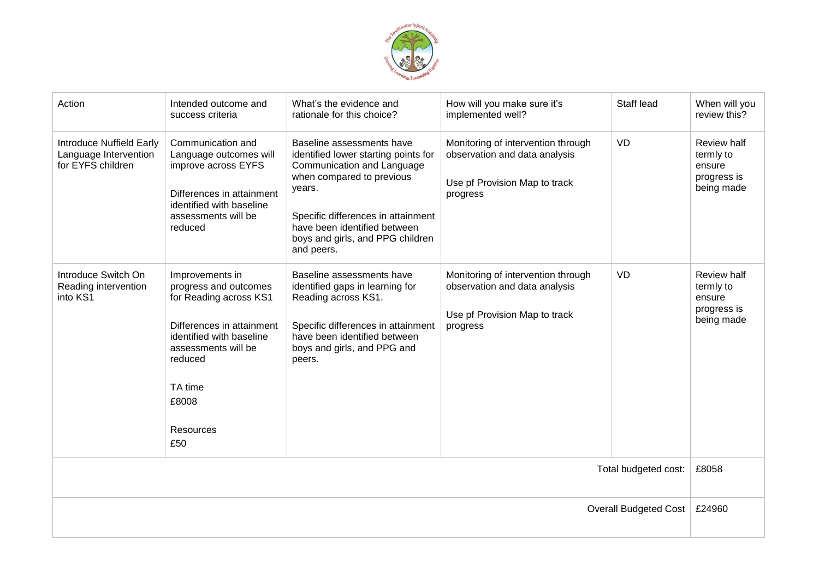

| Action                                                                        | Intended outcome and<br>success criteria                                                                                                                                                              | What's the evidence and<br>rationale for this choice?                                                                                                                                                                                                          | How will you make sure it's<br>implemented well?                                                                 | Staff lead | When will you<br>review this?                                   |
|-------------------------------------------------------------------------------|-------------------------------------------------------------------------------------------------------------------------------------------------------------------------------------------------------|----------------------------------------------------------------------------------------------------------------------------------------------------------------------------------------------------------------------------------------------------------------|------------------------------------------------------------------------------------------------------------------|------------|-----------------------------------------------------------------|
| <b>Introduce Nuffield Early</b><br>Language Intervention<br>for EYFS children | Communication and<br>Language outcomes will<br>improve across EYFS<br>Differences in attainment<br>identified with baseline<br>assessments will be<br>reduced                                         | Baseline assessments have<br>identified lower starting points for<br>Communication and Language<br>when compared to previous<br>years.<br>Specific differences in attainment<br>have been identified between<br>boys and girls, and PPG children<br>and peers. | Monitoring of intervention through<br>observation and data analysis<br>Use pf Provision Map to track<br>progress | <b>VD</b>  | Review half<br>termly to<br>ensure<br>progress is<br>being made |
| Introduce Switch On<br>Reading intervention<br>into KS1                       | Improvements in<br>progress and outcomes<br>for Reading across KS1<br>Differences in attainment<br>identified with baseline<br>assessments will be<br>reduced<br>TA time<br>£8008<br>Resources<br>£50 | Baseline assessments have<br>identified gaps in learning for<br>Reading across KS1.<br>Specific differences in attainment<br>have been identified between<br>boys and girls, and PPG and<br>peers.                                                             | Monitoring of intervention through<br>observation and data analysis<br>Use pf Provision Map to track<br>progress | <b>VD</b>  | Review half<br>termly to<br>ensure<br>progress is<br>being made |
| Total budgeted cost:                                                          |                                                                                                                                                                                                       |                                                                                                                                                                                                                                                                |                                                                                                                  | £8058      |                                                                 |
| <b>Overall Budgeted Cost</b>                                                  |                                                                                                                                                                                                       |                                                                                                                                                                                                                                                                |                                                                                                                  | £24960     |                                                                 |